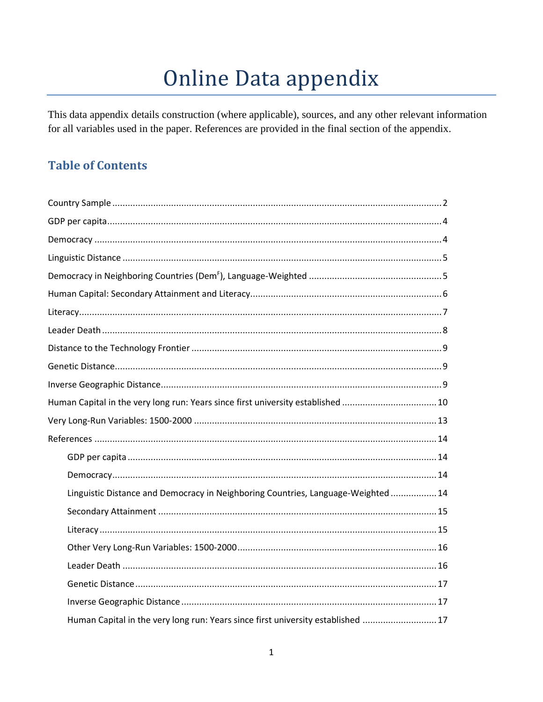# Online Data appendix

This data appendix details construction (where applicable), sources, and any other relevant information for all variables used in the paper. References are provided in the final section of the appendix.

## **Table of Contents**

| Human Capital in the very long run: Years since first university established 10  |
|----------------------------------------------------------------------------------|
|                                                                                  |
|                                                                                  |
|                                                                                  |
|                                                                                  |
| Linguistic Distance and Democracy in Neighboring Countries, Language-Weighted 14 |
|                                                                                  |
|                                                                                  |
|                                                                                  |
|                                                                                  |
|                                                                                  |
|                                                                                  |
| Human Capital in the very long run: Years since first university established  17 |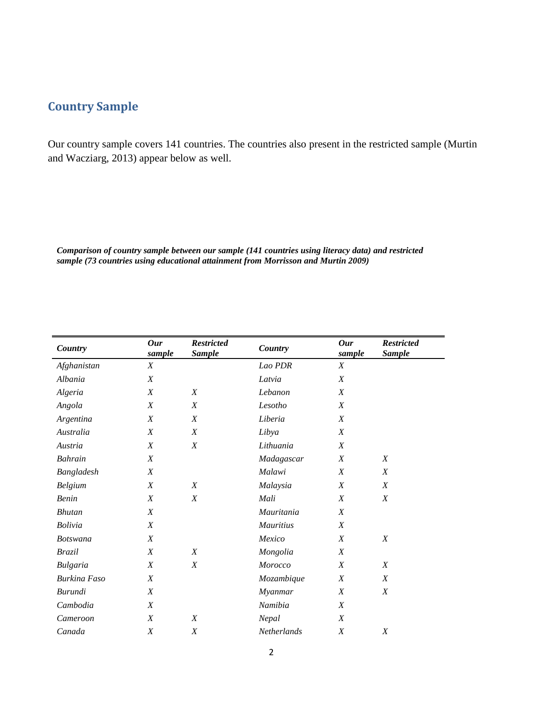## <span id="page-1-0"></span>**Country Sample**

Our country sample covers 141 countries. The countries also present in the restricted sample (Murtin and Wacziarg, 2013) appear below as well.

*Comparison of country sample between our sample (141 countries using literacy data) and restricted sample (73 countries using educational attainment from Morrisson and Murtin 2009)*

| Country             | Our<br>sample    | <b>Restricted</b><br><b>Sample</b> | Country          | Our<br>sample    | <b>Restricted</b><br><b>Sample</b> |
|---------------------|------------------|------------------------------------|------------------|------------------|------------------------------------|
| Afghanistan         | X                |                                    | Lao PDR          | X                |                                    |
| Albania             | X                |                                    | Latvia           | $\boldsymbol{X}$ |                                    |
| Algeria             | X                | $\boldsymbol{X}$                   | Lebanon          | $\boldsymbol{X}$ |                                    |
| Angola              | X                | $\boldsymbol{X}$                   | Lesotho          | X                |                                    |
| Argentina           | X                | X                                  | Liberia          | X                |                                    |
| Australia           | X                | $\boldsymbol{X}$                   | Libya            | $\boldsymbol{X}$ |                                    |
| Austria             | $\boldsymbol{X}$ | $\boldsymbol{X}$                   | Lithuania        | $\boldsymbol{X}$ |                                    |
| <b>Bahrain</b>      | X                |                                    | Madagascar       | $\boldsymbol{X}$ | X                                  |
| Bangladesh          | $\boldsymbol{X}$ |                                    | Malawi           | $\boldsymbol{X}$ | X                                  |
| <b>Belgium</b>      | X                | X                                  | Malaysia         | $\boldsymbol{X}$ | X                                  |
| <b>Benin</b>        | X                | $\boldsymbol{X}$                   | Mali             | $\boldsymbol{X}$ | X                                  |
| <b>Bhutan</b>       | X                |                                    | Mauritania       | $\boldsymbol{X}$ |                                    |
| <b>Bolivia</b>      | X                |                                    | <b>Mauritius</b> | X                |                                    |
| <b>Botswana</b>     | $\boldsymbol{X}$ |                                    | Mexico           | $\boldsymbol{X}$ | $\boldsymbol{X}$                   |
| <b>Brazil</b>       | X                | $\boldsymbol{X}$                   | Mongolia         | $\boldsymbol{X}$ |                                    |
| Bulgaria            | X                | $\boldsymbol{X}$                   | Morocco          | X                | X                                  |
| <b>Burkina Faso</b> | $\boldsymbol{X}$ |                                    | Mozambique       | $\boldsymbol{X}$ | X                                  |
| Burundi             | $\boldsymbol{X}$ |                                    | Myanmar          | $\boldsymbol{X}$ | X                                  |
| Cambodia            | X                |                                    | Namibia          | X                |                                    |
| Cameroon            | X                | $\boldsymbol{X}$                   | Nepal            | $\boldsymbol{X}$ |                                    |
| Canada              | X                | $\boldsymbol{X}$                   | Netherlands      | $\boldsymbol{X}$ | X                                  |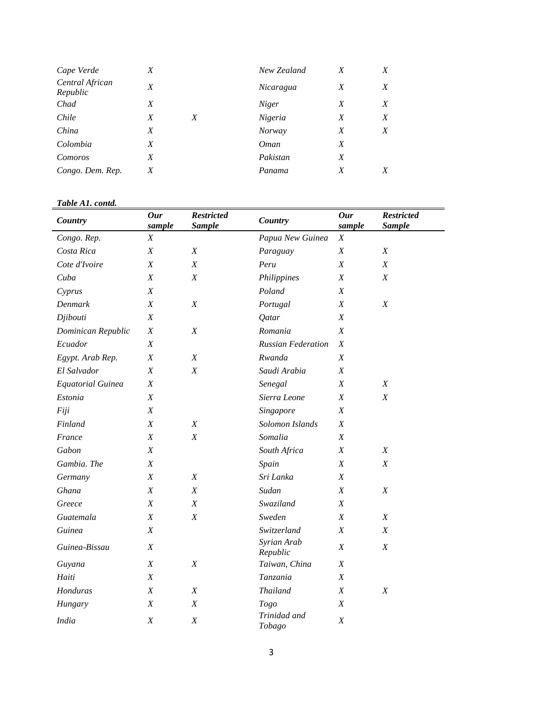| Cape Verde                  | X |   | New Zealand   | X | X |
|-----------------------------|---|---|---------------|---|---|
| Central African<br>Republic | X |   | Nicaragua     | X | X |
| Chad                        | X |   | <b>Niger</b>  | X | X |
| Chile                       | X | X | Nigeria       | X | X |
| China                       | X |   | <b>Norway</b> | X | X |
| Colombia                    | X |   | <i>Oman</i>   | X |   |
| Comoros                     | X |   | Pakistan      | X |   |
| Congo. Dem. Rep.            | X |   | Panama        | X | X |

#### *Table A1. contd.*

| Country                  | <b>Our</b><br>sample | <b>Restricted</b><br><b>Sample</b> | Country                   | <b>Our</b><br>sample | <b>Restricted</b><br><b>Sample</b> |
|--------------------------|----------------------|------------------------------------|---------------------------|----------------------|------------------------------------|
| Congo. Rep.              | $\boldsymbol{X}$     |                                    | Papua New Guinea          | $\boldsymbol{X}$     |                                    |
| Costa Rica               | $\boldsymbol{X}$     | $\boldsymbol{X}$                   | Paraguay                  | X                    | X                                  |
| Cote d'Ivoire            | $\boldsymbol{X}$     | $\boldsymbol{X}$                   | Peru                      | X                    | $\boldsymbol{X}$                   |
| Cuba                     | $\boldsymbol{X}$     | $\boldsymbol{X}$                   | Philippines               | $\boldsymbol{X}$     | $\boldsymbol{X}$                   |
| Cyprus                   | X                    |                                    | Poland                    | X                    |                                    |
| Denmark                  | $\boldsymbol{X}$     | $\boldsymbol{X}$                   | Portugal                  | X                    | X                                  |
| Djibouti                 | $\boldsymbol{X}$     |                                    | Qatar                     | $\boldsymbol{X}$     |                                    |
| Dominican Republic       | $\boldsymbol{X}$     | $\boldsymbol{X}$                   | Romania                   | X                    |                                    |
| Ecuador                  | $\boldsymbol{X}$     |                                    | <b>Russian Federation</b> | X                    |                                    |
| Egypt. Arab Rep.         | $\boldsymbol{X}$     | $\boldsymbol{X}$                   | Rwanda                    | $\boldsymbol{X}$     |                                    |
| El Salvador              | $\boldsymbol{X}$     | $\boldsymbol{X}$                   | Saudi Arabia              | X                    |                                    |
| <b>Equatorial Guinea</b> | X                    |                                    | Senegal                   | X                    | $\boldsymbol{X}$                   |
| Estonia                  | $\boldsymbol{X}$     |                                    | Sierra Leone              | $\boldsymbol{X}$     | $\boldsymbol{X}$                   |
| Fiji                     | $\boldsymbol{X}$     |                                    | Singapore                 | Χ                    |                                    |
| Finland                  | $\boldsymbol{X}$     | $\boldsymbol{X}$                   | Solomon Islands           | X                    |                                    |
| France                   | X                    | $\boldsymbol{X}$                   | Somalia                   | X                    |                                    |
| Gabon                    | $\boldsymbol{X}$     |                                    | South Africa              | X                    | $\boldsymbol{X}$                   |
| Gambia. The              | $\boldsymbol{X}$     |                                    | Spain                     | $\boldsymbol{X}$     | X                                  |
| Germany                  | $\boldsymbol{X}$     | $\boldsymbol{X}$                   | Sri Lanka                 | Χ                    |                                    |
| Ghana                    | $\boldsymbol{X}$     | X                                  | Sudan                     | X                    | $\boldsymbol{X}$                   |
| Greece                   | $\boldsymbol{X}$     | $\boldsymbol{X}$                   | Swaziland                 | $\boldsymbol{X}$     |                                    |
| Guatemala                | $\boldsymbol{X}$     | $\boldsymbol{X}$                   | Sweden                    | $\boldsymbol{X}$     | $\boldsymbol{X}$                   |
| Guinea                   | $\boldsymbol{X}$     |                                    | Switzerland               | X                    | $\boldsymbol{X}$                   |
| Guinea-Bissau            | $\boldsymbol{X}$     |                                    | Syrian Arab<br>Republic   | $\boldsymbol{X}$     | $\boldsymbol{X}$                   |
| Guyana                   | $\boldsymbol{X}$     | X                                  | Taiwan, China             | X                    |                                    |
| Haiti                    | $\boldsymbol{X}$     |                                    | Tanzania                  | $\boldsymbol{X}$     |                                    |
| Honduras                 | $\boldsymbol{X}$     | X                                  | <b>Thailand</b>           | X                    | $\boldsymbol{X}$                   |
| Hungary                  | $\boldsymbol{X}$     | X                                  | Togo                      | X                    |                                    |
| India                    | $\boldsymbol{X}$     | $\boldsymbol{X}$                   | Trinidad and<br>Tobago    | X                    |                                    |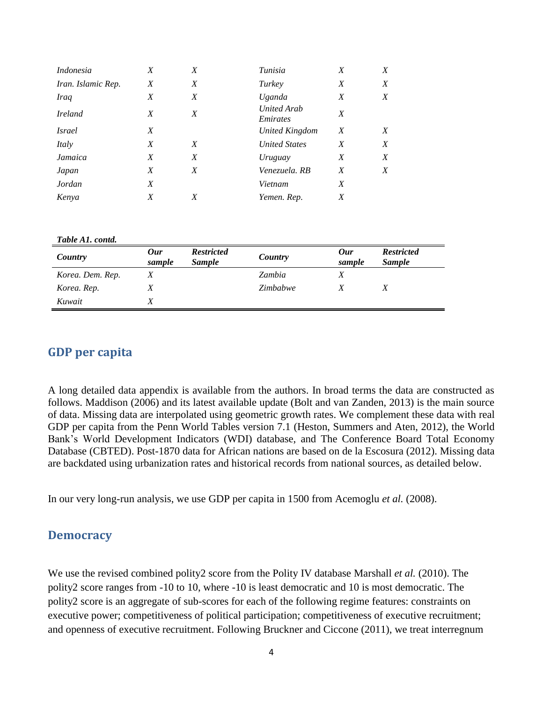| Indonesia          | X | X | Tunisia                        | X | X |
|--------------------|---|---|--------------------------------|---|---|
| Iran. Islamic Rep. | X | X | Turkey                         | X | X |
| <b>Iraq</b>        | X | X | Uganda                         | Χ | X |
| <i>Ireland</i>     | X | X | <b>United Arab</b><br>Emirates | X |   |
| <i>Israel</i>      | X |   | United Kingdom                 | X | X |
| Italy              | X | X | <b>United States</b>           | X | X |
| Jamaica            | X | X | Uruguay                        | X | X |
| Japan              | X | X | Venezuela. RB                  | X | X |
| Jordan             | X |   | Vietnam                        | X |   |
| Kenya              | Χ | X | Yemen. Rep.                    | Χ |   |

#### *Table A1. contd.*

| Country          | 0ur<br>sample | <b>Restricted</b><br><i>Sample</i> | Country  | 0ur<br>sample | <b>Restricted</b><br><b>Sample</b> |
|------------------|---------------|------------------------------------|----------|---------------|------------------------------------|
| Korea. Dem. Rep. |               |                                    | Zambia   |               |                                    |
| Korea. Rep.      |               |                                    | Zimbabwe |               |                                    |
| Kuwait           |               |                                    |          |               |                                    |

#### <span id="page-3-0"></span>**GDP per capita**

A long detailed data appendix is available from the authors. In broad terms the data are constructed as follows. Maddison (2006) and its latest available update (Bolt and van Zanden, 2013) is the main source of data. Missing data are interpolated using geometric growth rates. We complement these data with real GDP per capita from the Penn World Tables version 7.1 (Heston, Summers and Aten, 2012), the World Bank's World Development Indicators (WDI) database, and The Conference Board Total Economy Database (CBTED). Post-1870 data for African nations are based on de la Escosura (2012). Missing data are backdated using urbanization rates and historical records from national sources, as detailed below.

In our very long-run analysis, we use GDP per capita in 1500 from Acemoglu *et al.* (2008).

#### <span id="page-3-1"></span>**Democracy**

We use the revised combined polity2 score from the Polity IV database Marshall *et al.* (2010). The polity2 score ranges from -10 to 10, where -10 is least democratic and 10 is most democratic. The polity2 score is an aggregate of sub-scores for each of the following regime features: constraints on executive power; competitiveness of political participation; competitiveness of executive recruitment; and openness of executive recruitment. Following Bruckner and Ciccone (2011), we treat interregnum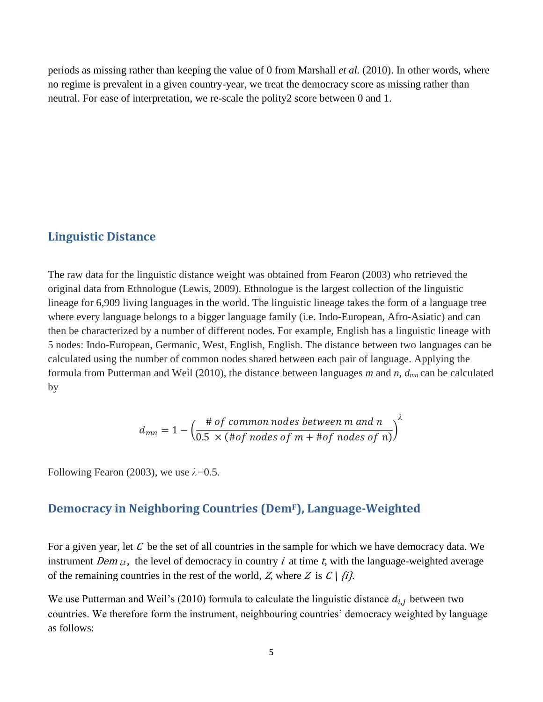periods as missing rather than keeping the value of 0 from Marshall *et al.* (2010). In other words, where no regime is prevalent in a given country-year, we treat the democracy score as missing rather than neutral. For ease of interpretation, we re-scale the polity2 score between 0 and 1.

#### <span id="page-4-0"></span>**Linguistic Distance**

The raw data for the linguistic distance weight was obtained from Fearon (2003) who retrieved the original data from Ethnologue (Lewis, 2009). Ethnologue is the largest collection of the linguistic lineage for 6,909 living languages in the world. The linguistic lineage takes the form of a language tree where every language belongs to a bigger language family (i.e. Indo-European, Afro-Asiatic) and can then be characterized by a number of different nodes. For example, English has a linguistic lineage with 5 nodes: Indo-European, Germanic, West, English, English. The distance between two languages can be calculated using the number of common nodes shared between each pair of language. Applying the formula from Putterman and Weil (2010), the distance between languages *m* and *n*, *dmn* can be calculated by

$$
d_{mn} = 1 - \left(\frac{\text{# of common nodes between m and n}}{0.5 \times (\text{# of nodes of m} + \text{# of nodes of n})}\right)^{\lambda}
$$

Following Fearon (2003), we use *λ=*0.5.

#### <span id="page-4-1"></span>**Democracy in Neighboring Countries (DemF), Language-Weighted**

For a given year, let  $C$  be the set of all countries in the sample for which we have democracy data. We instrument Dem  $_{i,t}$ , the level of democracy in country i at time t, with the language-weighted average of the remaining countries in the rest of the world, Z, where Z is  $C \mid \{i\}$ .

We use Putterman and Weil's (2010) formula to calculate the linguistic distance  $d_{i,j}$  between two countries. We therefore form the instrument, neighbouring countries' democracy weighted by language as follows: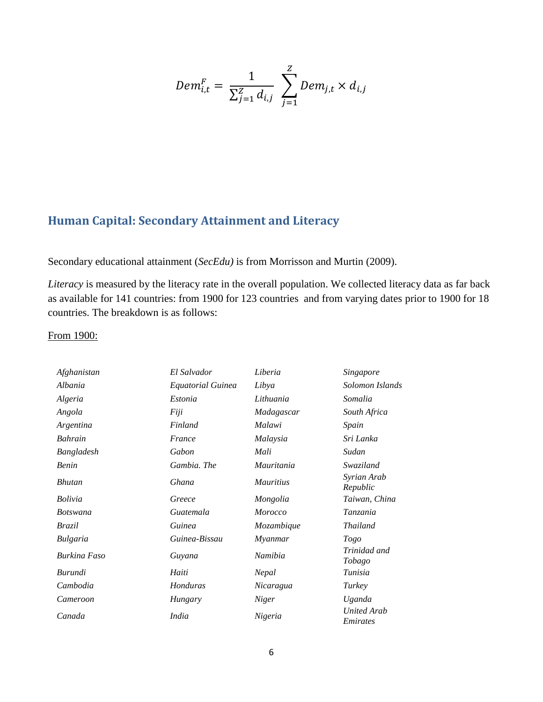$$
Dem_{i,t}^{F} = \frac{1}{\sum_{j=1}^{Z} d_{i,j}} \sum_{j=1}^{Z} Dem_{j,t} \times d_{i,j}
$$

## <span id="page-5-0"></span>**Human Capital: Secondary Attainment and Literacy**

Secondary educational attainment (*SecEdu)* is from Morrisson and Murtin (2009).

*Literacy* is measured by the literacy rate in the overall population. We collected literacy data as far back as available for 141 countries: from 1900 for 123 countries and from varying dates prior to 1900 for 18 countries. The breakdown is as follows:

#### From 1900:

| Afghanistan     | El Salvador       | Liberia          | <b>Singapore</b>               |
|-----------------|-------------------|------------------|--------------------------------|
| Albania         | Equatorial Guinea | Libya            | Solomon Islands                |
| Algeria         | Estonia           | Lithuania        | Somalia                        |
| Angola          | Fiji              | Madagascar       | South Africa                   |
| Argentina       | Finland           | Malawi           | Spain                          |
| <b>Bahrain</b>  | France            | Malaysia         | Sri Lanka                      |
| Bangladesh      | Gabon             | Mali             | Sudan                          |
| Benin           | Gambia. The       | Mauritania       | Swaziland                      |
| <b>Bhutan</b>   | Ghana             | <i>Mauritius</i> | Syrian Arab<br>Republic        |
| <b>Bolivia</b>  | Greece            | Mongolia         | Taiwan, China                  |
| <b>Botswana</b> | Guatemala         | <i>Morocco</i>   | Tanzania                       |
| Brazil          | Guinea            | Mozambique       | <b>Thailand</b>                |
| Bulgaria        | Guinea-Bissau     | Myanmar          | <b>Togo</b>                    |
| Burkina Faso    | Guyana            | Namibia          | Trinidad and<br>Tobago         |
| Burundi         | Haiti             | Nepal            | Tunisia                        |
| Cambodia        | Honduras          | Nicaragua        | Turkey                         |
| Cameroon        | Hungary           | Niger            | Uganda                         |
| Canada          | <i>India</i>      | Nigeria          | <b>United Arab</b><br>Emirates |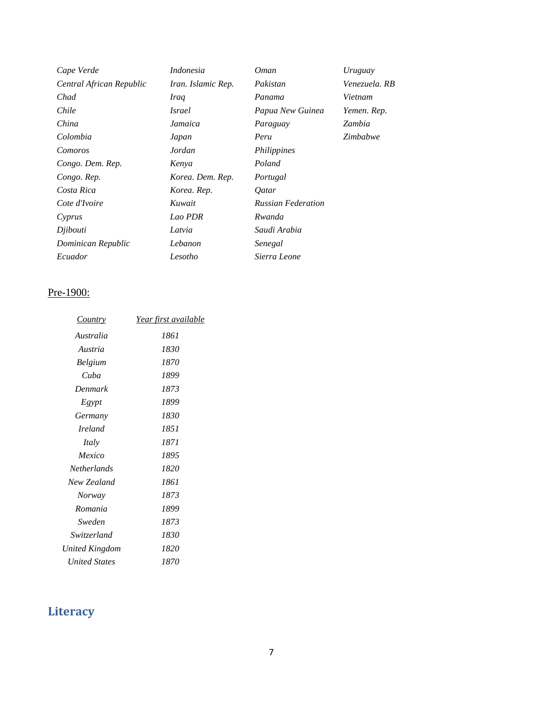| Cape Verde               | <i>Indonesia</i>   | <i>Oman</i>               | Uruguay       |
|--------------------------|--------------------|---------------------------|---------------|
| Central African Republic | Iran. Islamic Rep. | Pakistan                  | Venezuela. RB |
| Chad                     | Iraq               | Panama                    | Vietnam       |
| Chile                    | <i>Israel</i>      | Papua New Guinea          | Yemen. Rep.   |
| China                    | Jamaica            | Paraguay                  | Zambia        |
| Colombia                 | Japan              | Peru                      | Zimbabwe      |
| Comoros                  | Jordan             | Philippines               |               |
| Congo. Dem. Rep.         | Kenya              | Poland                    |               |
| Congo. Rep.              | Korea. Dem. Rep.   | Portugal                  |               |
| Costa Rica               | Korea. Rep.        | <i>Oatar</i>              |               |
| Cote d'Ivoire            | Kuwait             | <b>Russian Federation</b> |               |
| Cyprus                   | Lao PDR            | Rwanda                    |               |
| Djibouti                 | Latvia             | Saudi Arabia              |               |
| Dominican Republic       | Lebanon            | Senegal                   |               |
| Ecuador                  | Lesotho            | Sierra Leone              |               |

#### Pre-1900:

| Year first available |
|----------------------|
| 1861                 |
| 1830                 |
| 1870                 |
| 1899                 |
| 1873                 |
| 1899                 |
| 1830                 |
| 1851                 |
| 1871                 |
| 1895                 |
| 1820                 |
| 1861                 |
| 1873                 |
| 1899                 |
| 1873                 |
| 1830                 |
| 1820                 |
| 1870                 |
|                      |

## <span id="page-6-0"></span>**Literacy**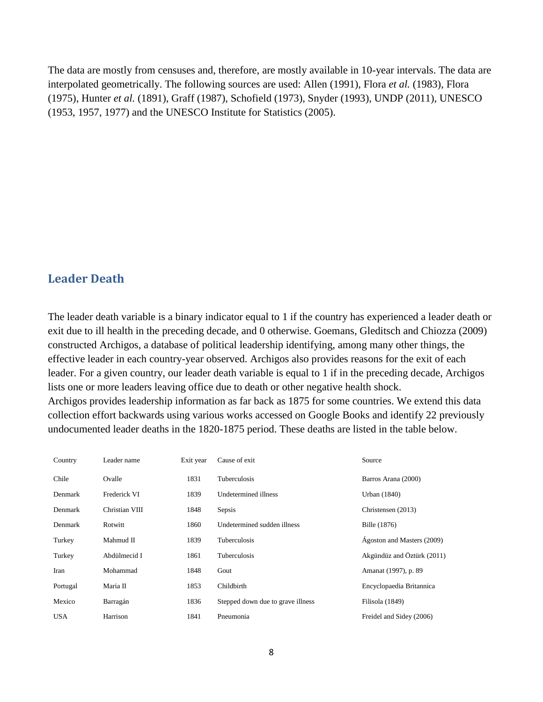The data are mostly from censuses and, therefore, are mostly available in 10-year intervals. The data are interpolated geometrically. The following sources are used: Allen (1991), Flora *et al.* (1983), Flora (1975), Hunter *et al.* (1891), Graff (1987), Schofield (1973), Snyder (1993), UNDP (2011), UNESCO (1953, 1957, 1977) and the UNESCO Institute for Statistics (2005).

#### <span id="page-7-0"></span>**Leader Death**

The leader death variable is a binary indicator equal to 1 if the country has experienced a leader death or exit due to ill health in the preceding decade, and 0 otherwise. Goemans, Gleditsch and Chiozza (2009) constructed Archigos, a database of political leadership identifying, among many other things, the effective leader in each country-year observed. Archigos also provides reasons for the exit of each leader. For a given country, our leader death variable is equal to 1 if in the preceding decade, Archigos lists one or more leaders leaving office due to death or other negative health shock. Archigos provides leadership information as far back as 1875 for some countries. We extend this data collection effort backwards using various works accessed on Google Books and identify 22 previously undocumented leader deaths in the 1820-1875 period. These deaths are listed in the table below.

| Country    | Leader name    | Exit year | Cause of exit                     | Source                     |
|------------|----------------|-----------|-----------------------------------|----------------------------|
| Chile      | Ovalle         | 1831      | Tuberculosis                      | Barros Arana (2000)        |
| Denmark    | Frederick VI   | 1839      | Undetermined illness              | Urban (1840)               |
| Denmark    | Christian VIII | 1848      | Sepsis                            | Christensen (2013)         |
| Denmark    | Rotwitt        | 1860      | Undetermined sudden illness       | Bille (1876)               |
| Turkey     | Mahmud II      | 1839      | Tuberculosis                      | Ágoston and Masters (2009) |
| Turkey     | Abdülmecid I   | 1861      | Tuberculosis                      | Akgündüz and Öztürk (2011) |
| Iran       | Mohammad       | 1848      | Gout                              | Amanat (1997), p. 89       |
| Portugal   | Maria II       | 1853      | Childbirth                        | Encyclopaedia Britannica   |
| Mexico     | Barragán       | 1836      | Stepped down due to grave illness | Filisola (1849)            |
| <b>USA</b> | Harrison       | 1841      | Pneumonia                         | Freidel and Sidey (2006)   |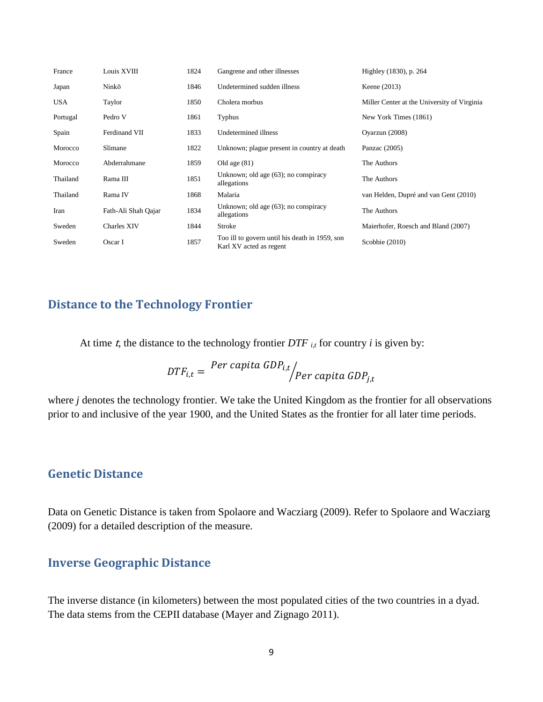| France     | Louis XVIII         | 1824 | Gangrene and other illnesses                                              | Highley (1830), p. 264                      |
|------------|---------------------|------|---------------------------------------------------------------------------|---------------------------------------------|
| Japan      | Ninkō               | 1846 | Undetermined sudden illness                                               | Keene (2013)                                |
| <b>USA</b> | Taylor              | 1850 | Cholera morbus                                                            | Miller Center at the University of Virginia |
| Portugal   | Pedro V             | 1861 | <b>Typhus</b>                                                             | New York Times (1861)                       |
| Spain      | Ferdinand VII       | 1833 | Undetermined illness                                                      | Ovarzun (2008)                              |
| Morocco    | Slimane             | 1822 | Unknown; plague present in country at death                               | Panzac $(2005)$                             |
| Morocco    | Abderrahmane        | 1859 | Old age $(81)$                                                            | The Authors                                 |
| Thailand   | Rama III            | 1851 | Unknown; old age (63); no conspiracy<br>allegations                       | The Authors                                 |
| Thailand   | Rama IV             | 1868 | Malaria                                                                   | van Helden, Dupré and van Gent (2010)       |
| Iran       | Fath-Ali Shah Qajar | 1834 | Unknown; old age (63); no conspiracy<br>allegations                       | The Authors                                 |
| Sweden     | <b>Charles XIV</b>  | 1844 | Stroke                                                                    | Maierhofer, Roesch and Bland (2007)         |
| Sweden     | Oscar I             | 1857 | Too ill to govern until his death in 1959, son<br>Karl XV acted as regent | Scobbie $(2010)$                            |

### <span id="page-8-0"></span>**Distance to the Technology Frontier**

At time  $t$ , the distance to the technology frontier  $DTF$   $_{i,t}$  for country  $i$  is given by:

$$
DTF_{i,t} = \frac{Per\ capita\ GDP_{i,t}}{Per\ capita\ GDP_{j,t}}
$$

where *j* denotes the technology frontier. We take the United Kingdom as the frontier for all observations prior to and inclusive of the year 1900, and the United States as the frontier for all later time periods.

#### <span id="page-8-1"></span>**Genetic Distance**

Data on Genetic Distance is taken from Spolaore and Wacziarg (2009). Refer to Spolaore and Wacziarg (2009) for a detailed description of the measure.

#### <span id="page-8-2"></span>**Inverse Geographic Distance**

The inverse distance (in kilometers) between the most populated cities of the two countries in a dyad. The data stems from the CEPII database (Mayer and Zignago 2011).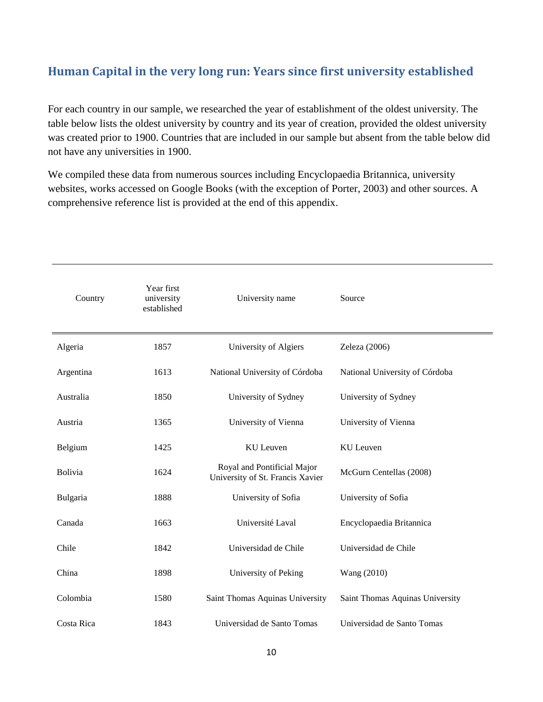## <span id="page-9-0"></span>**Human Capital in the very long run: Years since first university established**

For each country in our sample, we researched the year of establishment of the oldest university. The table below lists the oldest university by country and its year of creation, provided the oldest university was created prior to 1900. Countries that are included in our sample but absent from the table below did not have any universities in 1900.

We compiled these data from numerous sources including Encyclopaedia Britannica, university websites, works accessed on Google Books (with the exception of Porter, 2003) and other sources. A comprehensive reference list is provided at the end of this appendix.

| Country    | Year first<br>university<br>established | University name                                                 | Source                          |
|------------|-----------------------------------------|-----------------------------------------------------------------|---------------------------------|
| Algeria    | 1857                                    | University of Algiers                                           | Zeleza (2006)                   |
| Argentina  | 1613                                    | National University of Córdoba                                  | National University of Córdoba  |
| Australia  | 1850                                    | University of Sydney                                            | University of Sydney            |
| Austria    | 1365                                    | University of Vienna                                            | University of Vienna            |
| Belgium    | 1425                                    | KU Leuven                                                       | <b>KU</b> Leuven                |
| Bolivia    | 1624                                    | Royal and Pontificial Major<br>University of St. Francis Xavier | McGurn Centellas (2008)         |
| Bulgaria   | 1888                                    | University of Sofia                                             | University of Sofia             |
| Canada     | 1663                                    | Université Laval                                                | Encyclopaedia Britannica        |
| Chile      | 1842                                    | Universidad de Chile                                            | Universidad de Chile            |
| China      | 1898                                    | University of Peking                                            | Wang (2010)                     |
| Colombia   | 1580                                    | Saint Thomas Aquinas University                                 | Saint Thomas Aquinas University |
| Costa Rica | 1843                                    | Universidad de Santo Tomas                                      | Universidad de Santo Tomas      |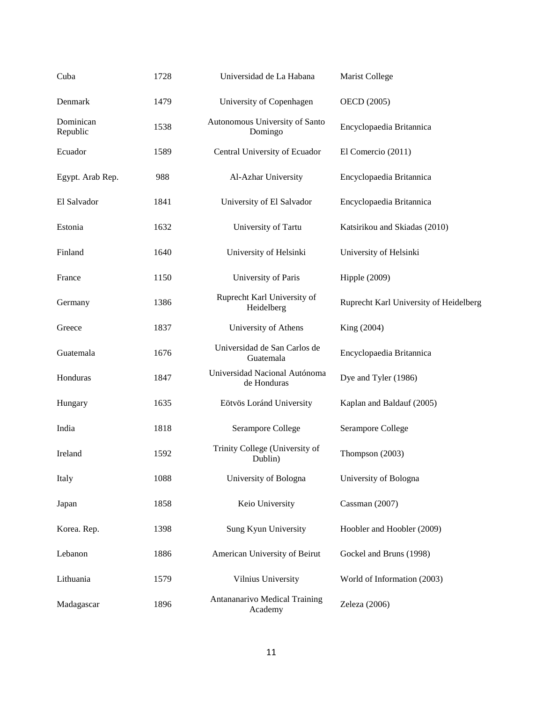| Cuba                  | 1728 | Universidad de La Habana                     | Marist College                         |
|-----------------------|------|----------------------------------------------|----------------------------------------|
| Denmark               | 1479 | University of Copenhagen                     | OECD (2005)                            |
| Dominican<br>Republic | 1538 | Autonomous University of Santo<br>Domingo    | Encyclopaedia Britannica               |
| Ecuador               | 1589 | Central University of Ecuador                | El Comercio (2011)                     |
| Egypt. Arab Rep.      | 988  | Al-Azhar University                          | Encyclopaedia Britannica               |
| El Salvador           | 1841 | University of El Salvador                    | Encyclopaedia Britannica               |
| Estonia               | 1632 | University of Tartu                          | Katsirikou and Skiadas (2010)          |
| Finland               | 1640 | University of Helsinki                       | University of Helsinki                 |
| France                | 1150 | University of Paris                          | Hipple $(2009)$                        |
| Germany               | 1386 | Ruprecht Karl University of<br>Heidelberg    | Ruprecht Karl University of Heidelberg |
| Greece                | 1837 | University of Athens                         | King (2004)                            |
| Guatemala             | 1676 | Universidad de San Carlos de<br>Guatemala    | Encyclopaedia Britannica               |
| Honduras              | 1847 | Universidad Nacional Autónoma<br>de Honduras | Dye and Tyler (1986)                   |
| Hungary               | 1635 | Eötvös Loránd University                     | Kaplan and Baldauf (2005)              |
| India                 | 1818 | Serampore College                            | Serampore College                      |
| Ireland               | 1592 | Trinity College (University of<br>Dublin)    | Thompson (2003)                        |
| Italy                 | 1088 | University of Bologna                        | University of Bologna                  |
| Japan                 | 1858 | Keio University                              | Cassman (2007)                         |
| Korea. Rep.           | 1398 | Sung Kyun University                         | Hoobler and Hoobler (2009)             |
| Lebanon               | 1886 | American University of Beirut                | Gockel and Bruns (1998)                |
| Lithuania             | 1579 | Vilnius University                           | World of Information (2003)            |
| Madagascar            | 1896 | Antananarivo Medical Training<br>Academy     | Zeleza (2006)                          |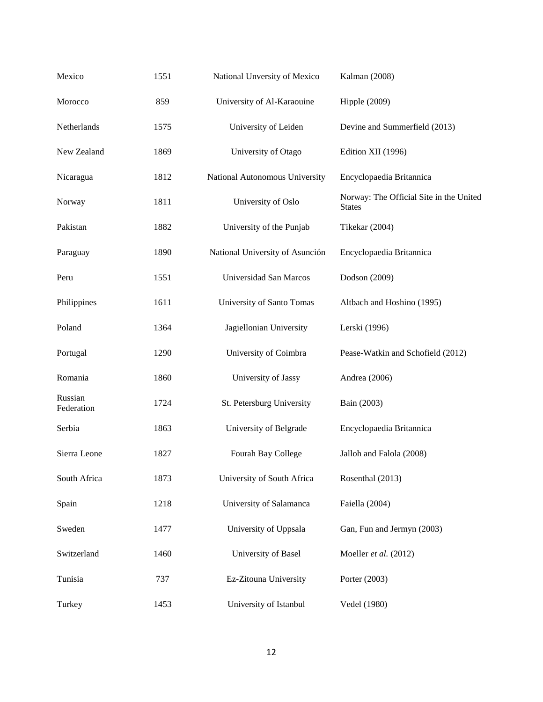| Mexico                | 1551 | National Unversity of Mexico    | Kalman (2008)                                            |
|-----------------------|------|---------------------------------|----------------------------------------------------------|
| Morocco               | 859  | University of Al-Karaouine      | Hipple $(2009)$                                          |
| Netherlands           | 1575 | University of Leiden            | Devine and Summerfield (2013)                            |
| New Zealand           | 1869 | University of Otago             | Edition XII (1996)                                       |
| Nicaragua             | 1812 | National Autonomous University  | Encyclopaedia Britannica                                 |
| Norway                | 1811 | University of Oslo              | Norway: The Official Site in the United<br><b>States</b> |
| Pakistan              | 1882 | University of the Punjab        | Tikekar (2004)                                           |
| Paraguay              | 1890 | National University of Asunción | Encyclopaedia Britannica                                 |
| Peru                  | 1551 | Universidad San Marcos          | Dodson (2009)                                            |
| Philippines           | 1611 | University of Santo Tomas       | Altbach and Hoshino (1995)                               |
| Poland                | 1364 | Jagiellonian University         | Lerski (1996)                                            |
| Portugal              | 1290 | University of Coimbra           | Pease-Watkin and Schofield (2012)                        |
| Romania               | 1860 | University of Jassy             | Andrea (2006)                                            |
| Russian<br>Federation | 1724 | St. Petersburg University       | Bain (2003)                                              |
| Serbia                | 1863 | University of Belgrade          | Encyclopaedia Britannica                                 |
| Sierra Leone          | 1827 | Fourah Bay College              | Jalloh and Falola (2008)                                 |
| South Africa          | 1873 | University of South Africa      | Rosenthal (2013)                                         |
| Spain                 | 1218 | University of Salamanca         | Faiella (2004)                                           |
| Sweden                | 1477 | University of Uppsala           | Gan, Fun and Jermyn (2003)                               |
| Switzerland           | 1460 | University of Basel             | Moeller et al. (2012)                                    |
| Tunisia               | 737  | Ez-Zitouna University           | Porter (2003)                                            |
| Turkey                | 1453 | University of Istanbul          | Vedel (1980)                                             |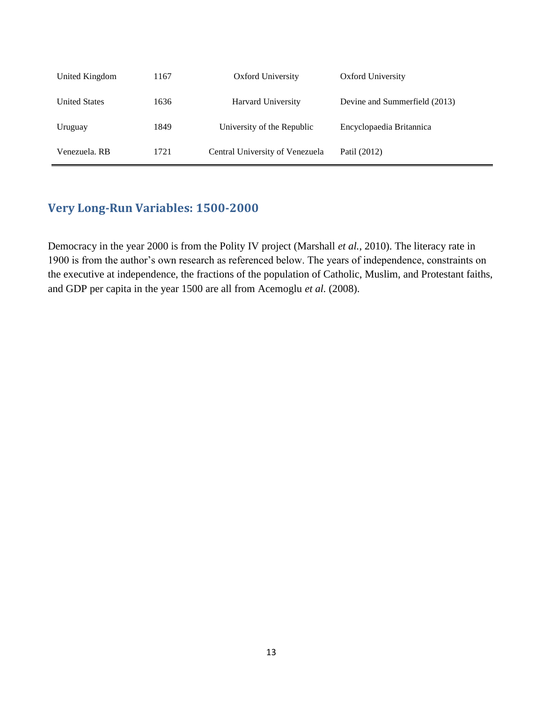| United Kingdom       | 1167 | Oxford University               | Oxford University             |
|----------------------|------|---------------------------------|-------------------------------|
| <b>United States</b> | 1636 | Harvard University              | Devine and Summerfield (2013) |
| Uruguay              | 1849 | University of the Republic      | Encyclopaedia Britannica      |
| Venezuela. RB        | 1721 | Central University of Venezuela | Patil (2012)                  |

### <span id="page-12-0"></span>**Very Long-Run Variables: 1500-2000**

Democracy in the year 2000 is from the Polity IV project (Marshall *et al.*, 2010). The literacy rate in 1900 is from the author's own research as referenced below. The years of independence, constraints on the executive at independence, the fractions of the population of Catholic, Muslim, and Protestant faiths, and GDP per capita in the year 1500 are all from Acemoglu *et al.* (2008).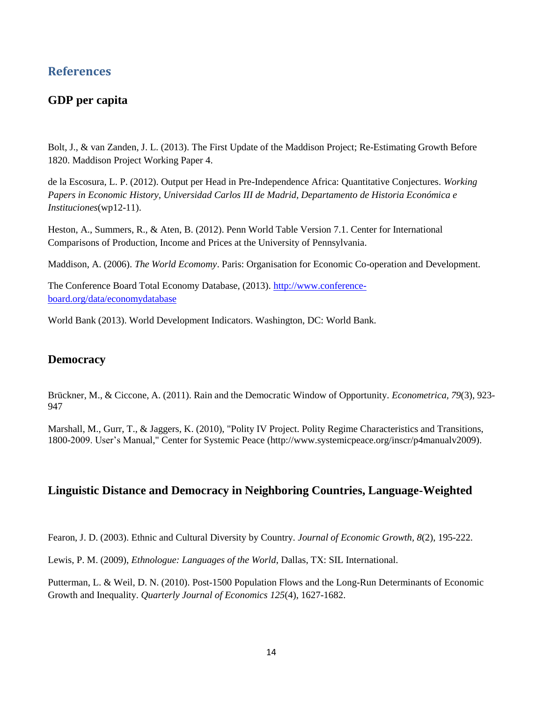#### <span id="page-13-0"></span>**References**

#### <span id="page-13-1"></span>**GDP per capita**

Bolt, J., & van Zanden, J. L. (2013). The First Update of the Maddison Project; Re-Estimating Growth Before 1820. Maddison Project Working Paper 4.

de la Escosura, L. P. (2012). Output per Head in Pre-Independence Africa: Quantitative Conjectures. *Working Papers in Economic History, Universidad Carlos III de Madrid, Departamento de Historia Económica e Instituciones*(wp12-11).

Heston, A., Summers, R., & Aten, B. (2012). Penn World Table Version 7.1. Center for International Comparisons of Production, Income and Prices at the University of Pennsylvania.

Maddison, A. (2006). *The World Ecomomy*. Paris: Organisation for Economic Co-operation and Development.

The Conference Board Total Economy Database, (2013). [http://www.conference](http://www.conference-board.org/data/economydatabase)[board.org/data/economydatabase](http://www.conference-board.org/data/economydatabase)

World Bank (2013). World Development Indicators. Washington, DC: World Bank.

#### <span id="page-13-2"></span>**Democracy**

Brückner, M., & Ciccone, A. (2011). Rain and the Democratic Window of Opportunity. *Econometrica, 79*(3), 923- 947

Marshall, M., Gurr, T., & Jaggers, K. (2010), "Polity IV Project. Polity Regime Characteristics and Transitions, 1800-2009. User's Manual," Center for Systemic Peace (http://www.systemicpeace.org/inscr/p4manualv2009).

#### <span id="page-13-3"></span>**Linguistic Distance and Democracy in Neighboring Countries, Language-Weighted**

Fearon, J. D. (2003). Ethnic and Cultural Diversity by Country. *Journal of Economic Growth, 8*(2), 195-222.

Lewis, P. M. (2009), *Ethnologue: Languages of the World*, Dallas, TX: SIL International.

Putterman, L. & Weil, D. N. (2010). Post-1500 Population Flows and the Long-Run Determinants of Economic Growth and Inequality. *Quarterly Journal of Economics 125*(4), 1627-1682.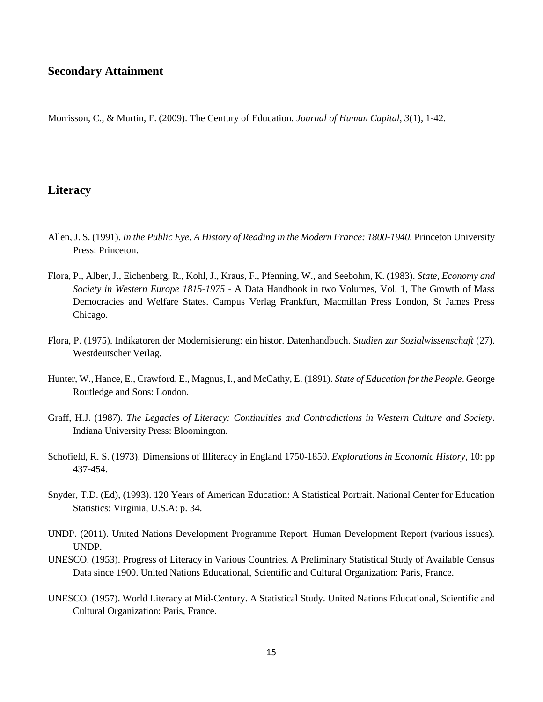#### <span id="page-14-0"></span>**Secondary Attainment**

Morrisson, C., & Murtin, F. (2009). The Century of Education. *Journal of Human Capital, 3*(1), 1-42.

#### <span id="page-14-1"></span>**Literacy**

- Allen, J. S. (1991). *In the Public Eye, A History of Reading in the Modern France: 1800-1940*. Princeton University Press: Princeton.
- Flora, P., Alber, J., Eichenberg, R., Kohl, J., Kraus, F., Pfenning, W., and Seebohm, K. (1983). *State, Economy and Society in Western Europe 1815-1975* - A Data Handbook in two Volumes, Vol. 1, The Growth of Mass Democracies and Welfare States. Campus Verlag Frankfurt, Macmillan Press London, St James Press Chicago.
- Flora, P. (1975). Indikatoren der Modernisierung: ein histor. Datenhandbuch. *Studien zur Sozialwissenschaft* (27). Westdeutscher Verlag.
- Hunter, W., Hance, E., Crawford, E., Magnus, I., and McCathy, E. (1891). *State of Education for the People*. George Routledge and Sons: London.
- Graff, H.J. (1987). *The Legacies of Literacy: Continuities and Contradictions in Western Culture and Society*. Indiana University Press: Bloomington.
- Schofield, R. S. (1973). Dimensions of Illiteracy in England 1750-1850. *Explorations in Economic History*, 10: pp 437-454.
- Snyder, T.D. (Ed), (1993). 120 Years of American Education: A Statistical Portrait. National Center for Education Statistics: Virginia, U.S.A: p. 34.
- UNDP. (2011). United Nations Development Programme Report. Human Development Report (various issues). UNDP.
- UNESCO. (1953). Progress of Literacy in Various Countries. A Preliminary Statistical Study of Available Census Data since 1900. United Nations Educational, Scientific and Cultural Organization: Paris, France.
- UNESCO. (1957). World Literacy at Mid-Century. A Statistical Study. United Nations Educational, Scientific and Cultural Organization: Paris, France.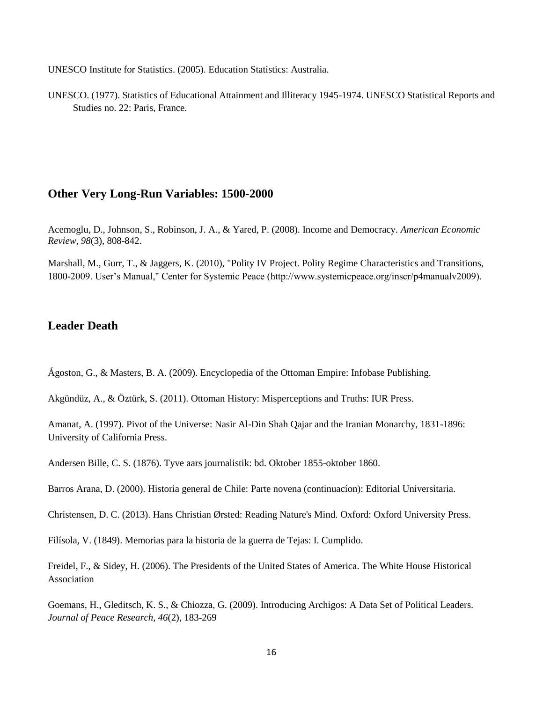UNESCO Institute for Statistics. (2005). Education Statistics: Australia.

UNESCO. (1977). Statistics of Educational Attainment and Illiteracy 1945-1974. UNESCO Statistical Reports and Studies no. 22: Paris, France.

#### <span id="page-15-0"></span>**Other Very Long-Run Variables: 1500-2000**

Acemoglu, D., Johnson, S., Robinson, J. A., & Yared, P. (2008). Income and Democracy. *American Economic Review, 98*(3), 808-842.

Marshall, M., Gurr, T., & Jaggers, K. (2010), "Polity IV Project. Polity Regime Characteristics and Transitions, 1800-2009. User's Manual," Center for Systemic Peace (http://www.systemicpeace.org/inscr/p4manualv2009).

#### <span id="page-15-1"></span>**Leader Death**

Ágoston, G., & Masters, B. A. (2009). Encyclopedia of the Ottoman Empire: Infobase Publishing.

Akgündüz, A., & Öztürk, S. (2011). Ottoman History: Misperceptions and Truths: IUR Press.

Amanat, A. (1997). Pivot of the Universe: Nasir Al-Din Shah Qajar and the Iranian Monarchy, 1831-1896: University of California Press.

Andersen Bille, C. S. (1876). Tyve aars journalistik: bd. Oktober 1855-oktober 1860.

Barros Arana, D. (2000). Historia general de Chile: Parte novena (continuacíon): Editorial Universitaria.

Christensen, D. C. (2013). Hans Christian Ørsted: Reading Nature's Mind. Oxford: Oxford University Press.

Filísola, V. (1849). Memorias para la historia de la guerra de Tejas: I. Cumplido.

Freidel, F., & Sidey, H. (2006). The Presidents of the United States of America. The White House Historical Association

Goemans, H., Gleditsch, K. S., & Chiozza, G. (2009). Introducing Archigos: A Data Set of Political Leaders. *Journal of Peace Research, 46*(2), 183-269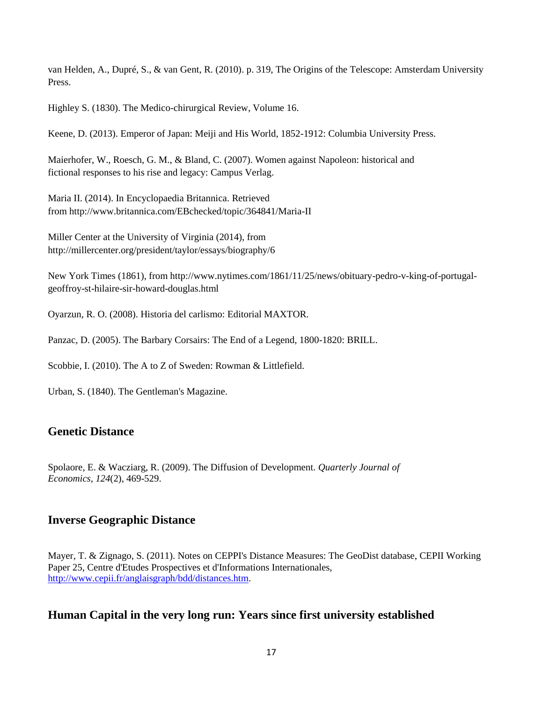van Helden, A., Dupré, S., & van Gent, R. (2010). p. 319, The Origins of the Telescope: Amsterdam University Press.

Highley S. (1830). The Medico-chirurgical Review, Volume 16.

Keene, D. (2013). Emperor of Japan: Meiji and His World, 1852-1912: Columbia University Press.

Maierhofer, W., Roesch, G. M., & Bland, C. (2007). Women against Napoleon: historical and fictional responses to his rise and legacy: Campus Verlag.

Maria II. (2014). In Encyclopaedia Britannica. Retrieved from http://www.britannica.com/EBchecked/topic/364841/Maria-II

Miller Center at the University of Virginia (2014), from http://millercenter.org/president/taylor/essays/biography/6

New York Times (1861), from http://www.nytimes.com/1861/11/25/news/obituary-pedro-v-king-of-portugalgeoffroy-st-hilaire-sir-howard-douglas.html

Oyarzun, R. O. (2008). Historia del carlismo: Editorial MAXTOR.

Panzac, D. (2005). The Barbary Corsairs: The End of a Legend, 1800-1820: BRILL.

Scobbie, I. (2010). The A to Z of Sweden: Rowman & Littlefield.

Urban, S. (1840). The Gentleman's Magazine.

#### <span id="page-16-0"></span>**Genetic Distance**

Spolaore, E. & Wacziarg, R. (2009). The Diffusion of Development. *Quarterly Journal of Economics, 124*(2), 469-529.

#### <span id="page-16-1"></span>**Inverse Geographic Distance**

Mayer, T. & Zignago, S. (2011). Notes on CEPPI's Distance Measures: The GeoDist database, CEPII Working Paper 25, Centre d'Etudes Prospectives et d'Informations Internationales, [http://www.cepii.fr/anglaisgraph/bdd/distances.htm.](http://www.cepii.fr/anglaisgraph/bdd/distances.htm)

#### <span id="page-16-2"></span>**Human Capital in the very long run: Years since first university established**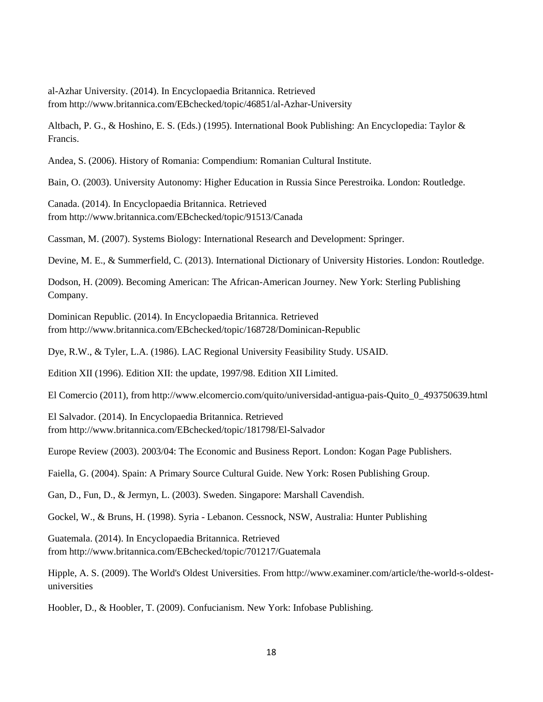al-Azhar University. (2014). In Encyclopaedia Britannica. Retrieved from http://www.britannica.com/EBchecked/topic/46851/al-Azhar-University

Altbach, P. G., & Hoshino, E. S. (Eds.) (1995). International Book Publishing: An Encyclopedia: Taylor & Francis.

Andea, S. (2006). History of Romania: Compendium: Romanian Cultural Institute.

Bain, O. (2003). University Autonomy: Higher Education in Russia Since Perestroika. London: Routledge.

Canada. (2014). In Encyclopaedia Britannica. Retrieved from http://www.britannica.com/EBchecked/topic/91513/Canada

Cassman, M. (2007). Systems Biology: International Research and Development: Springer.

Devine, M. E., & Summerfield, C. (2013). International Dictionary of University Histories. London: Routledge.

Dodson, H. (2009). Becoming American: The African-American Journey. New York: Sterling Publishing Company.

Dominican Republic. (2014). In Encyclopaedia Britannica. Retrieved from http://www.britannica.com/EBchecked/topic/168728/Dominican-Republic

Dye, R.W., & Tyler, L.A. (1986). LAC Regional University Feasibility Study. USAID.

Edition XII (1996). Edition XII: the update, 1997/98. Edition XII Limited.

El Comercio (2011), from http://www.elcomercio.com/quito/universidad-antigua-pais-Quito\_0\_493750639.html

El Salvador. (2014). In Encyclopaedia Britannica. Retrieved from http://www.britannica.com/EBchecked/topic/181798/El-Salvador

Europe Review (2003). 2003/04: The Economic and Business Report. London: Kogan Page Publishers.

Faiella, G. (2004). Spain: A Primary Source Cultural Guide. New York: Rosen Publishing Group.

Gan, D., Fun, D., & Jermyn, L. (2003). Sweden. Singapore: Marshall Cavendish.

Gockel, W., & Bruns, H. (1998). Syria - Lebanon. Cessnock, NSW, Australia: Hunter Publishing

Guatemala. (2014). In Encyclopaedia Britannica. Retrieved from http://www.britannica.com/EBchecked/topic/701217/Guatemala

Hipple, A. S. (2009). The World's Oldest Universities. From http://www.examiner.com/article/the-world-s-oldestuniversities

Hoobler, D., & Hoobler, T. (2009). Confucianism. New York: Infobase Publishing.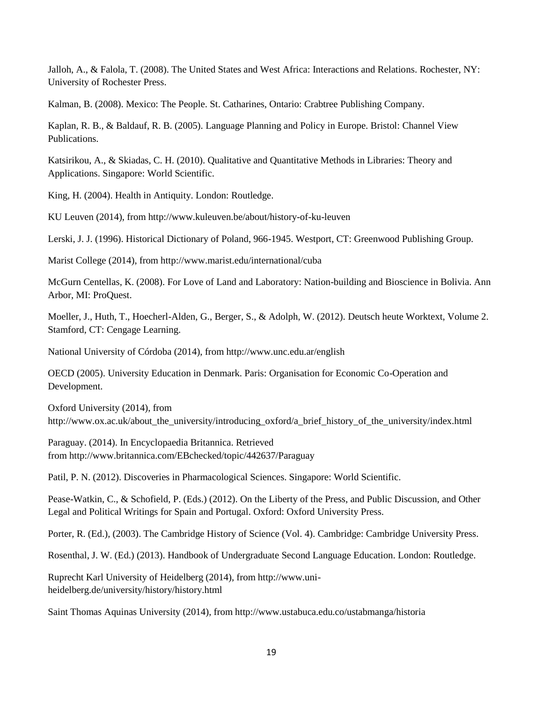Jalloh, A., & Falola, T. (2008). The United States and West Africa: Interactions and Relations. Rochester, NY: University of Rochester Press.

Kalman, B. (2008). Mexico: The People. St. Catharines, Ontario: Crabtree Publishing Company.

Kaplan, R. B., & Baldauf, R. B. (2005). Language Planning and Policy in Europe. Bristol: Channel View Publications.

Katsirikou, A., & Skiadas, C. H. (2010). Qualitative and Quantitative Methods in Libraries: Theory and Applications. Singapore: World Scientific.

King, H. (2004). Health in Antiquity. London: Routledge.

KU Leuven (2014), from http://www.kuleuven.be/about/history-of-ku-leuven

Lerski, J. J. (1996). Historical Dictionary of Poland, 966-1945. Westport, CT: Greenwood Publishing Group.

Marist College (2014), from http://www.marist.edu/international/cuba

McGurn Centellas, K. (2008). For Love of Land and Laboratory: Nation-building and Bioscience in Bolivia. Ann Arbor, MI: ProQuest.

Moeller, J., Huth, T., Hoecherl-Alden, G., Berger, S., & Adolph, W. (2012). Deutsch heute Worktext, Volume 2. Stamford, CT: Cengage Learning.

National University of Córdoba (2014), from http://www.unc.edu.ar/english

OECD (2005). University Education in Denmark. Paris: Organisation for Economic Co-Operation and Development.

Oxford University (2014), from http://www.ox.ac.uk/about\_the\_university/introducing\_oxford/a\_brief\_history\_of\_the\_university/index.html

Paraguay. (2014). In Encyclopaedia Britannica. Retrieved from http://www.britannica.com/EBchecked/topic/442637/Paraguay

Patil, P. N. (2012). Discoveries in Pharmacological Sciences. Singapore: World Scientific.

Pease-Watkin, C., & Schofield, P. (Eds.) (2012). On the Liberty of the Press, and Public Discussion, and Other Legal and Political Writings for Spain and Portugal. Oxford: Oxford University Press.

Porter, R. (Ed.), (2003). The Cambridge History of Science (Vol. 4). Cambridge: Cambridge University Press.

Rosenthal, J. W. (Ed.) (2013). Handbook of Undergraduate Second Language Education. London: Routledge.

Ruprecht Karl University of Heidelberg (2014), from http://www.uniheidelberg.de/university/history/history.html

Saint Thomas Aquinas University (2014), from http://www.ustabuca.edu.co/ustabmanga/historia